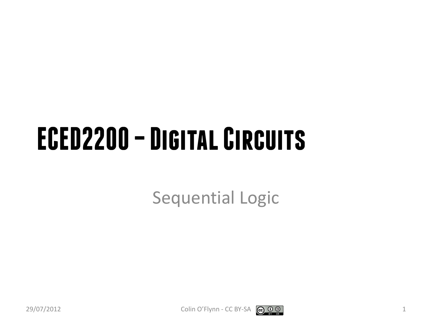#### **ECED2200 –Digital Circuits**

Sequential Logic



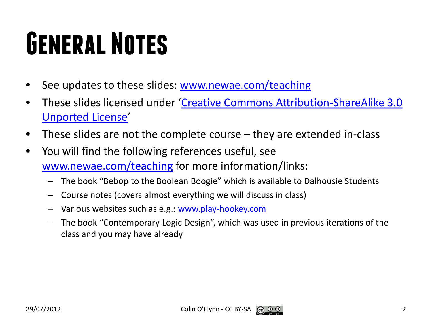## **General Notes**

- See updates to these slides: [www.newae.com/teaching](http://www.newae.com/teaching)
- These slides licensed under '[Creative Commons Attribution-ShareAlike](http://creativecommons.org/licenses/by-sa/3.0/) 3.0 [Unported](http://creativecommons.org/licenses/by-sa/3.0/) License'
- These slides are not the complete course they are extended in-class
- You will find the following references useful, see [www.newae.com/teaching](http://www.newae.com/teaching) for more information/links:
	- The book "Bebop to the Boolean Boogie" which is available to Dalhousie Students
	- Course notes (covers almost everything we will discuss in class)
	- Various websites such as e.g.: [www.play-hookey.com](http://www.play-hookey.com/)
	- The book "Contemporary Logic Design", which was used in previous iterations of the class and you may have already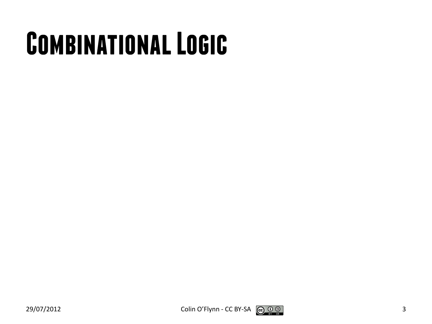## **Combinational Logic**

$$
\mathsf 3
$$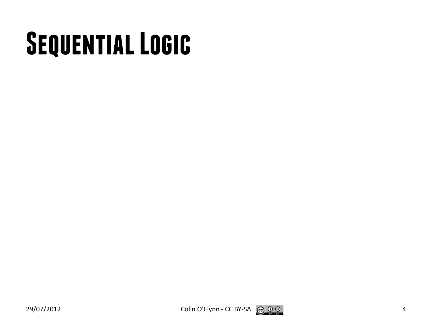## **Sequential Logic**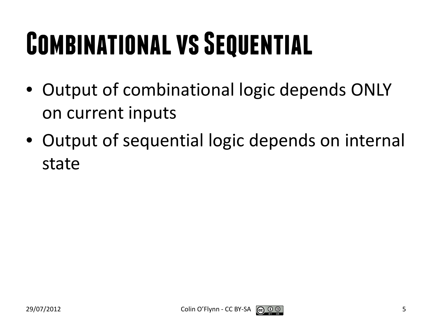## **COMBINATIONAL VS SEQUENTIAL**

- Output of combinational logic depends ONLY on current inputs
- Output of sequential logic depends on internal state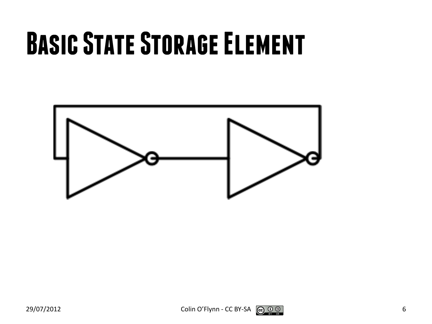#### **Basic State Storage Element**



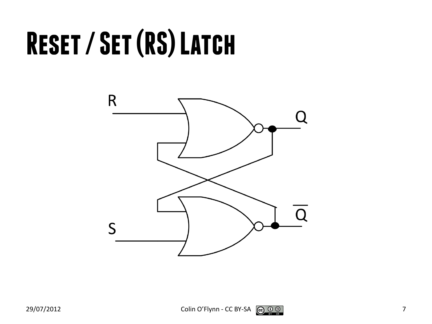## **Reset / Set (RS) Latch**



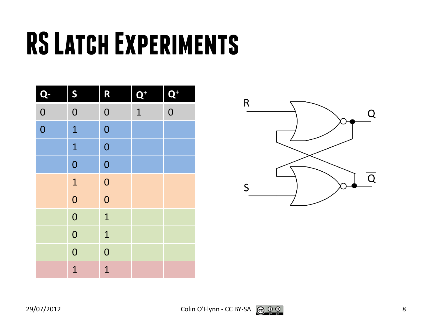## **RS Latch Experiments**

| Q              | S              | R              | $\mathbf{Q}^+$ | $\overline{\mathbf{Q}}^+$ |
|----------------|----------------|----------------|----------------|---------------------------|
| $\overline{0}$ | $\overline{0}$ | $\overline{0}$ | $\overline{1}$ | $\overline{0}$            |
| $\overline{0}$ | $\mathbf{1}$   | $\overline{0}$ |                |                           |
|                | $\mathbf{1}$   | $\overline{0}$ |                |                           |
|                | $\overline{0}$ | $\overline{0}$ |                |                           |
|                | $\mathbf{1}$   | $\overline{0}$ |                |                           |
|                | $\overline{0}$ | $\overline{0}$ |                |                           |
|                | $\overline{0}$ | $\mathbf{1}$   |                |                           |
|                | $\overline{0}$ | $\mathbf{1}$   |                |                           |
|                | $\overline{0}$ | $\overline{0}$ |                |                           |
|                | $\overline{1}$ | $\overline{1}$ |                |                           |

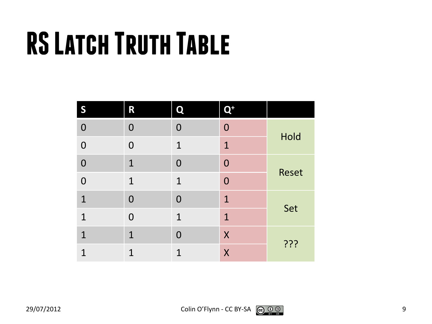## **RS Latch Truth Table**

| S              | R              | Q              | $\mathbf{Q}^+$ |              |
|----------------|----------------|----------------|----------------|--------------|
| $\mathbf 0$    | $\overline{0}$ | $\overline{0}$ | $\overline{0}$ |              |
| $\mathbf 0$    | $\overline{0}$ | $\mathbf 1$    | $\mathbf{1}$   | Hold         |
| $\overline{0}$ | $\mathbf{1}$   | $\mathbf 0$    | $\overline{0}$ |              |
| $\mathbf 0$    | $\mathbf{1}$   | $\mathbf{1}$   | $\overline{0}$ | <b>Reset</b> |
| $\mathbf{1}$   | $\overline{0}$ | $\overline{0}$ | $\mathbf{1}$   |              |
| $\mathbf{1}$   | $\overline{0}$ | $\mathbf{1}$   | $\mathbf{1}$   | Set          |
| $\mathbf{1}$   | $\mathbf{1}$   | $\overline{0}$ | X              |              |
| $\overline{1}$ | $\mathbf{1}$   | $\mathbf 1$    | $\sf X$        | ???          |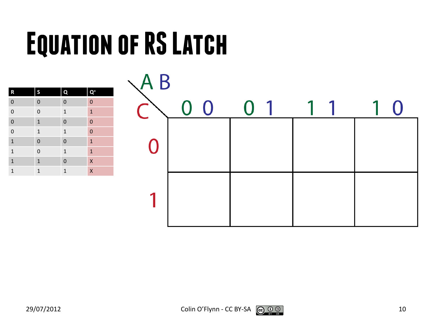## **Equation of RS Latch**

| $\mathbf R$    | S              | $\mathbf Q$    | $\mathbf{Q}^*$          |
|----------------|----------------|----------------|-------------------------|
| $\overline{0}$ | $\bf 0$        | $\mathbf{0}$   | $\mathbf 0$             |
| $\overline{0}$ | $\mathbf 0$    | $\mathbf 1$    | $\mathbf{1}$            |
| $\overline{0}$ | $\mathbf{1}$   | $\mathbf{0}$   | $\overline{0}$          |
| $\overline{0}$ | $\mathbf 1$    | $\mathbf{1}$   | $\overline{0}$          |
| $\overline{1}$ | $\mathbf 0$    | $\mathbf 0$    | $\mathbf{1}$            |
| $\overline{1}$ | $\overline{0}$ | $\mathbf 1$    | $\mathbf{1}$            |
| $\overline{1}$ | $\overline{1}$ | $\overline{0}$ | $\mathsf{x}$            |
| $\mathbf{1}$   | $\mathbf{1}$   | $\mathbf{1}$   | $\overline{\mathsf{x}}$ |

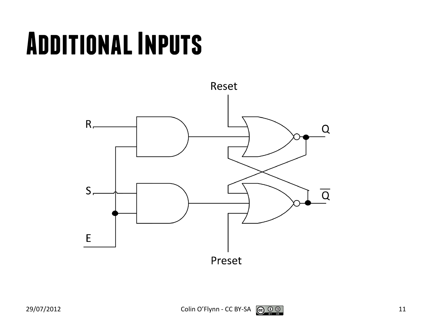#### **Additional Inputs**

![](_page_10_Figure_1.jpeg)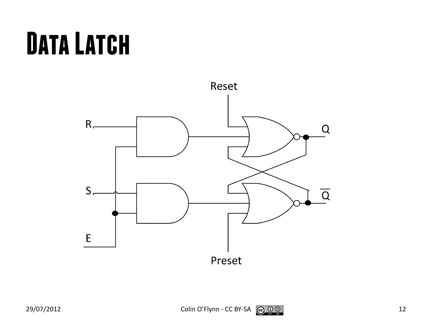### **Data Latch**

![](_page_11_Figure_1.jpeg)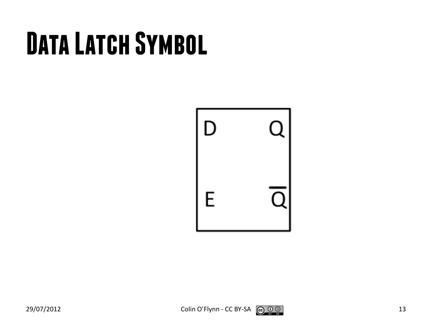## **Data Latch Symbol**

![](_page_12_Picture_1.jpeg)

![](_page_12_Picture_3.jpeg)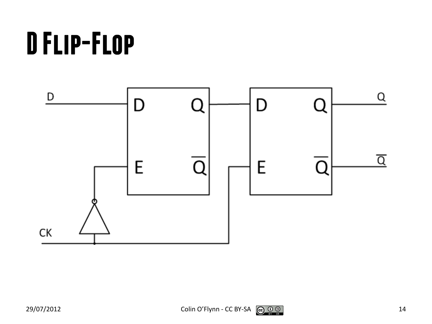## **D Flip-Flop**

![](_page_13_Figure_1.jpeg)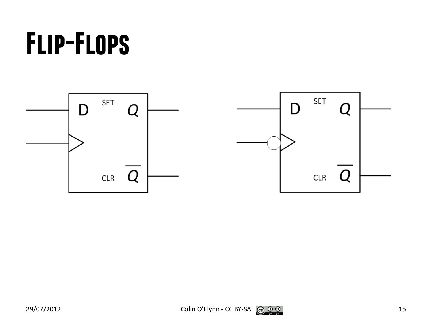### **Flip-Flops**

![](_page_14_Figure_1.jpeg)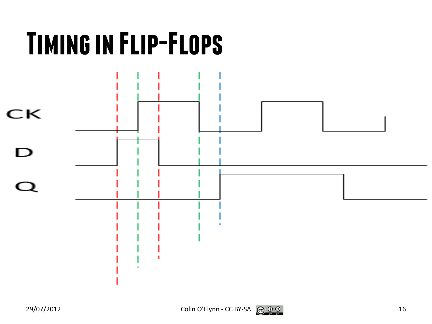![](_page_15_Figure_0.jpeg)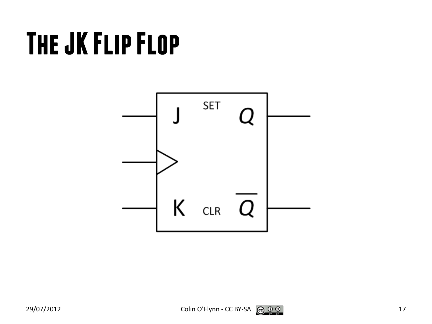### **The JK Flip Flop**

![](_page_16_Figure_1.jpeg)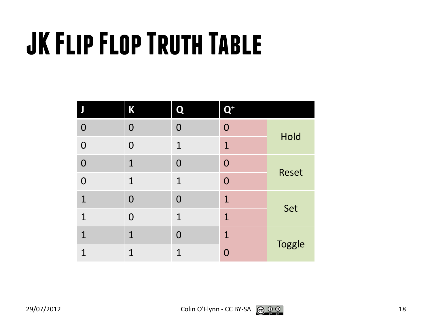## **JK Flip Flop Truth Table**

|                | Κ              | Q              | $\mathbf{Q}^+$ |               |
|----------------|----------------|----------------|----------------|---------------|
| $\mathbf 0$    | $\overline{0}$ | $\bf{0}$       | $\overline{0}$ |               |
| $\overline{0}$ | $\overline{0}$ | $\mathbf{1}$   | $\mathbf{1}$   | Hold          |
| $\overline{0}$ | $\mathbf{1}$   | $\mathbf 0$    | $\overline{0}$ |               |
| $\mathbf 0$    | $\mathbf{1}$   | $\mathbf{1}$   | $\overline{0}$ | <b>Reset</b>  |
| $\mathbf{1}$   | $\overline{0}$ | $\overline{0}$ | $\mathbf{1}$   |               |
| $\mathbf{1}$   | $\overline{0}$ | $\mathbf{1}$   | $\mathbf{1}$   | Set           |
| $\mathbf{1}$   | $\mathbf{1}$   | $\overline{0}$ | $\mathbf{1}$   |               |
| $\mathbf 1$    | $\overline{1}$ | 1              | $\Omega$       | <b>Toggle</b> |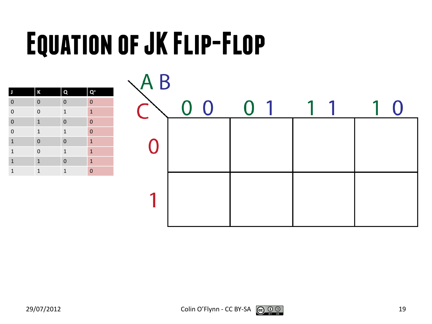## **Equation of JK Flip-Flop**

| J              | $\sf K$        | $\mathbf Q$    | $\mathbf{Q}^*$ |
|----------------|----------------|----------------|----------------|
| $\overline{0}$ | $\mathbf 0$    | $\mathbf 0$    | $\mathbf 0$    |
| $\overline{0}$ | $\mathbf{0}$   | $\mathbf{1}$   | $\mathbf{1}$   |
| $\overline{0}$ | $\overline{1}$ | $\mathbf 0$    | $\mathbf{0}$   |
| $\overline{0}$ | $\mathbf 1$    | $\mathbf{1}$   | $\overline{0}$ |
| $\overline{1}$ | $\mathbf{0}$   | $\mathbf 0$    | $\mathbf{1}$   |
| $\overline{1}$ | $\mathbf{0}$   | $\mathbf{1}$   | $\mathbf{1}$   |
| $\overline{1}$ | $\mathbf{1}$   | $\overline{0}$ | $\mathbf{1}$   |
| $\mathbf{1}$   | $\mathbf{1}$   | $\mathbf{1}$   | $\mathbf 0$    |

![](_page_18_Figure_2.jpeg)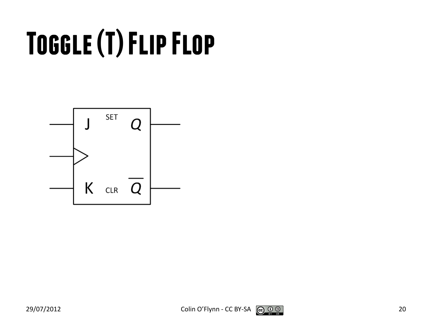# **Toggle (T) Flip Flop**

![](_page_19_Figure_1.jpeg)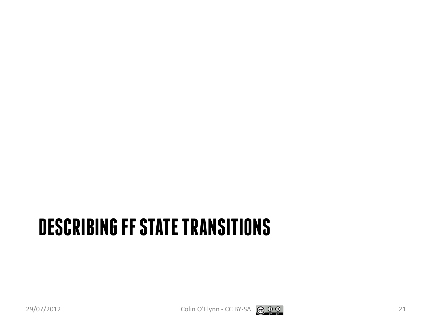#### **DESCRIBING FF STATE TRANSITIONS**

![](_page_20_Picture_2.jpeg)

![](_page_20_Picture_3.jpeg)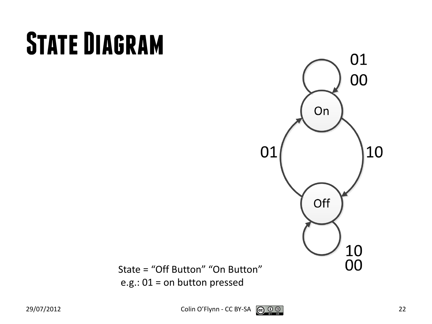## **State Diagram**

![](_page_21_Figure_1.jpeg)

State = "Off Button" "On Button" e.g.: 01 = on button pressed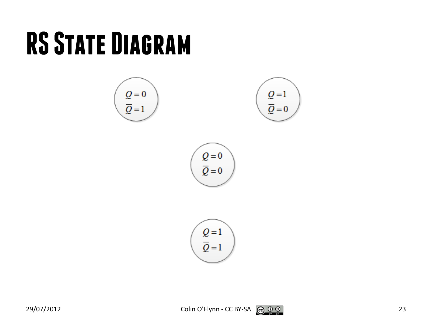#### **RS State Diagram**

![](_page_22_Figure_1.jpeg)

![](_page_22_Picture_3.jpeg)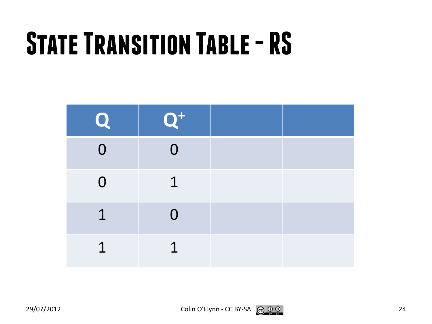## **State Transition Table -RS**

| Q              | $Q^+$          |  |
|----------------|----------------|--|
| $\overline{0}$ | $\mathbf 0$    |  |
| $\overline{0}$ | $\mathbf 1$    |  |
| $\mathbf{1}$   | $\overline{0}$ |  |
| $\overline{1}$ | 1              |  |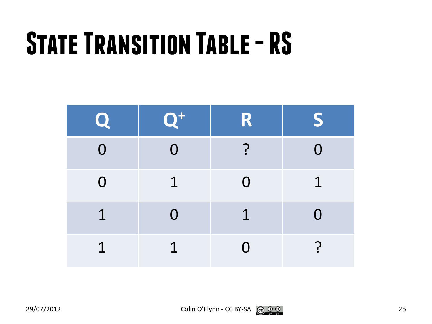## **State Transition Table -RS**

| Q.             | $Q^+$          | R              | S.          |
|----------------|----------------|----------------|-------------|
| $\overline{0}$ | $\overline{O}$ | <u>?</u>       | $\Omega$    |
| $\overline{0}$ | $\mathbf 1$    | $\overline{0}$ | $\mathbf 1$ |
| $\mathbf 1$    | $\overline{0}$ | $\mathbf 1$    | $\Omega$    |
| $\overline{1}$ | 1              | 0              | ገ           |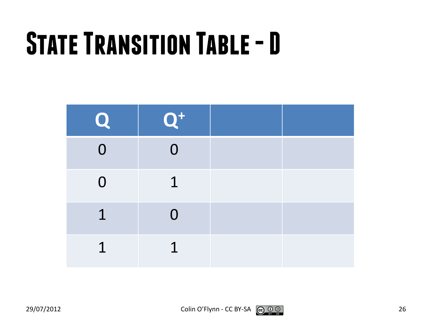## **State Transition Table -D**

| Q.             | $Q^+$          |  |
|----------------|----------------|--|
| $\overline{0}$ | $\overline{0}$ |  |
| $\overline{0}$ | $\mathbf 1$    |  |
| $\mathbf 1$    | $\overline{0}$ |  |
| $\overline{1}$ | 1              |  |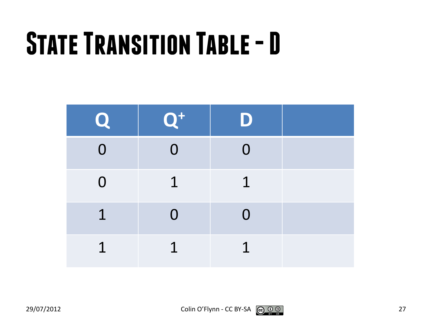## **State Transition Table -D**

| Q.             | $Q^+$          | D              |  |
|----------------|----------------|----------------|--|
| $\overline{0}$ | $\overline{0}$ | $\overline{0}$ |  |
| $\overline{0}$ | $\mathbf 1$    | $\mathbf 1$    |  |
| $\mathbf 1$    | $\overline{0}$ | $\Omega$       |  |
| $\overline{1}$ | $\overline{1}$ | $\mathbf 1$    |  |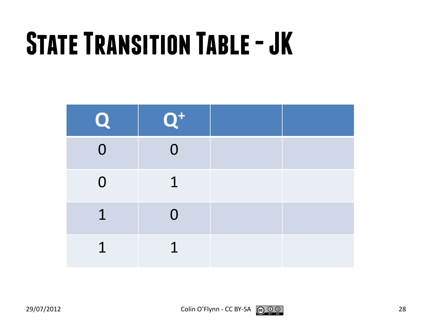## **State Transition Table -JK**

| Q              | $\mathbf{Q}^{\texttt{+}}$ |  |
|----------------|---------------------------|--|
| $\overline{0}$ | $\overline{0}$            |  |
| $\overline{0}$ | $\mathbf 1$               |  |
| $\mathbf 1$    | $\overline{0}$            |  |
| $\overline{1}$ | 1                         |  |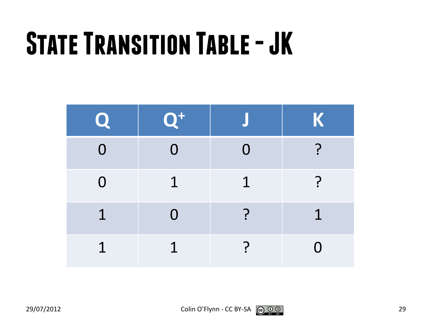## **State Transition Table -JK**

| Q.             | $\mathbf{Q}^+$ |             | K           |
|----------------|----------------|-------------|-------------|
| $\Omega$       | $\Omega$       | $\Omega$    |             |
| $\overline{0}$ | $\mathbf 1$    | $\mathbf 1$ | $\ddot{.}$  |
| $\mathbf 1$    | $\overline{0}$ | <u>?</u>    | $\mathbf 1$ |
| $\overline{1}$ | $\mathbf 1$    | <b>P</b>    | $\Omega$    |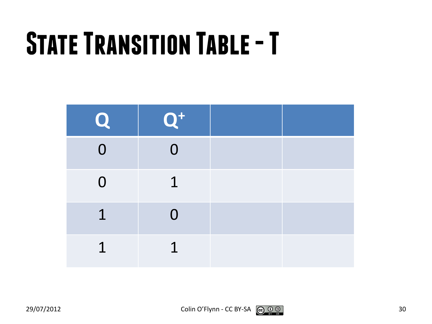## **State Transition Table -T**

| Q.             | $Q^+$          |  |
|----------------|----------------|--|
| $\overline{0}$ | $\overline{0}$ |  |
| $\overline{0}$ | $\mathbf 1$    |  |
| $\mathbf 1$    | $\overline{0}$ |  |
| $\overline{1}$ | 1              |  |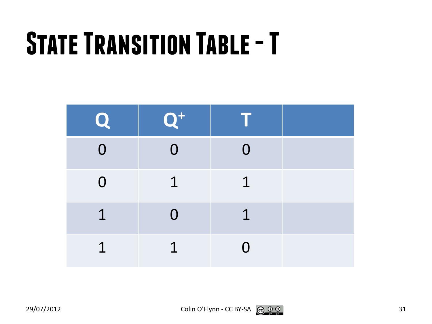## **State Transition Table -T**

| Q.             | $Q^+$          |             |  |
|----------------|----------------|-------------|--|
| $\overline{0}$ | $\overline{0}$ | $\Omega$    |  |
| $\overline{0}$ | $\mathbf 1$    | $\mathbf 1$ |  |
| $\mathbf 1$    | $\overline{0}$ | $\mathbf 1$ |  |
| $\overline{1}$ | 1              | $\Omega$    |  |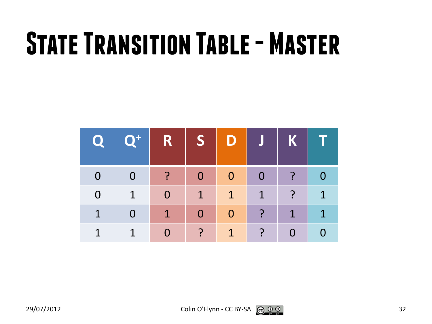## **State Transition Table - Master**

|                         | Q Q+ R S D J K T        |                         |                         |                |                |                  |
|-------------------------|-------------------------|-------------------------|-------------------------|----------------|----------------|------------------|
| $\overline{\mathbf{0}}$ |                         |                         | $\overline{\mathbf{0}}$ | $\overline{0}$ | $\ddot{?}$ 0   |                  |
| $\mathbf{1}$            | $\overline{\mathbf{0}}$ | $\mathbf{1}$            | 4                       | $\blacksquare$ | $\overline{?}$ | $\blacksquare$ 1 |
| $\overline{0}$          | $\blacklozenge$         | $\overline{\mathbf{0}}$ | $\overline{\mathbf{0}}$ | $\ddot{?}$     | $\vert$ 1      | $\blacksquare$ 1 |
|                         | $\bullet$               | $\ddot{?}$              | $\blacktriangleleft$    | ?              | $\overline{0}$ |                  |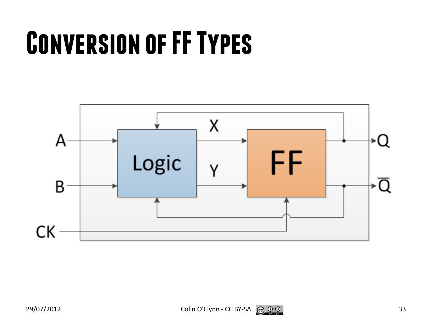### **Conversion of FF Types**

![](_page_32_Figure_1.jpeg)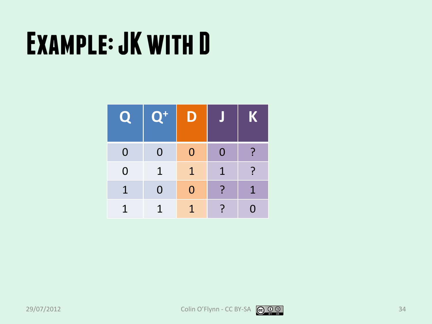| Q              | $\mathbf{Q}^+$ | J           |                | K            |
|----------------|----------------|-------------|----------------|--------------|
| $\overline{0}$ | 0              | $\Omega$    | $\overline{0}$ | ?            |
| $\overline{0}$ | 1              | $\mathbf 1$ | $\mathbf 1$    | $\mathbf{P}$ |
| $\mathbf 1$    | 0              | $\Omega$    | ?              | $\mathbf 1$  |
| 1              | 1              | 1           | ?              | O            |

![](_page_33_Picture_4.jpeg)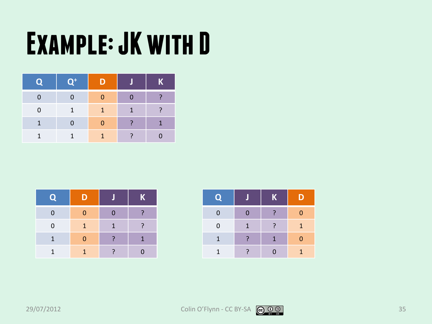| <b>EQL</b> | $\overline{Q^+}$ | D |   | K |
|------------|------------------|---|---|---|
| 0          |                  | O |   |   |
| 0          | $\mathbf{1}$     | 1 | 1 |   |
| 1          | 0                |   |   | 1 |
|            | 1                | 1 |   |   |

| <b>Q</b>    | נו           |              | $\mathbf K$ |
|-------------|--------------|--------------|-------------|
| $\mathbf 0$ | 0            | n            |             |
| $\mathbf 0$ | $\mathbf{1}$ | $\mathbf{1}$ |             |
| 1           | 0            |              |             |
|             |              |              |             |

| <b>CA</b>    |   | K | D        |
|--------------|---|---|----------|
| $\mathbf 0$  |   |   | $\Omega$ |
| $\mathbf 0$  | 1 |   | Æ        |
| $\mathbf{1}$ |   | 1 | $\Omega$ |
| 1            |   |   | 1        |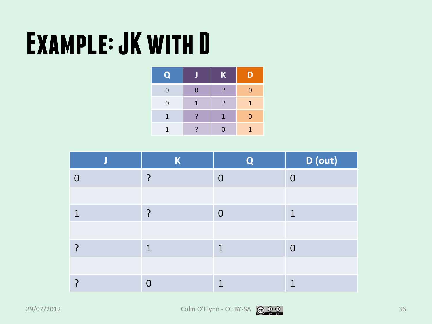| $\mathbf Q$    |   | $\mathbf K$ | D            |
|----------------|---|-------------|--------------|
| $\overline{0}$ | 0 | ?           | $\Omega$     |
| $\mathbf 0$    | 1 |             | $\mathbf{1}$ |
| 1              | 7 | 1           | 0            |
| 1              |   | $\Omega$    | 1            |

|   | K           | ∩              | D (out)        |
|---|-------------|----------------|----------------|
|   | ำ           | $\overline{0}$ | $\overline{0}$ |
|   |             |                |                |
| 1 | 2           | $\overline{0}$ | 1              |
|   |             |                |                |
|   | $\mathbf 1$ | 1              | $\overline{0}$ |
|   |             |                |                |
|   | $\cap$      | ◂              | ◀              |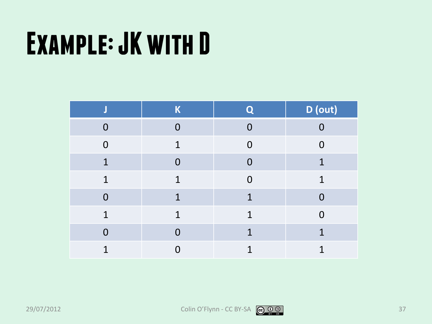|          | $\mathsf K$    | Q              | D (out)  |
|----------|----------------|----------------|----------|
| $\Omega$ | $\overline{0}$ | $\Omega$       | $\cap$   |
| $\Omega$ | $\mathbf 1$    | $\Omega$       | $\Omega$ |
| 1        | $\overline{0}$ | $\Omega$       | 1        |
| 1        | 1              | $\overline{0}$ | 1        |
| $\Omega$ | 1              | 1              | $\Omega$ |
| 1        | $\mathbf{1}$   | 1              | $\Omega$ |
| $\Omega$ |                | $\mathbf 1$    | 1        |
| 1        | O              | 1              | 1        |

![](_page_36_Picture_4.jpeg)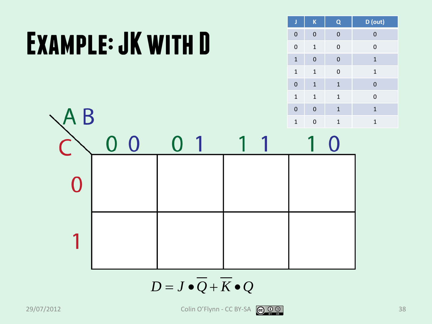![](_page_37_Figure_1.jpeg)

![](_page_37_Figure_2.jpeg)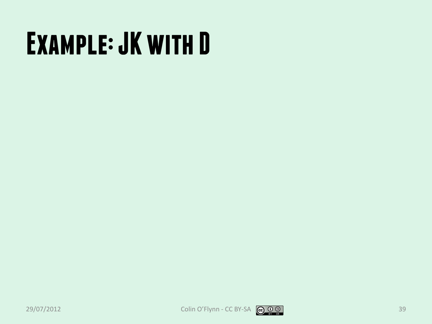![](_page_38_Picture_3.jpeg)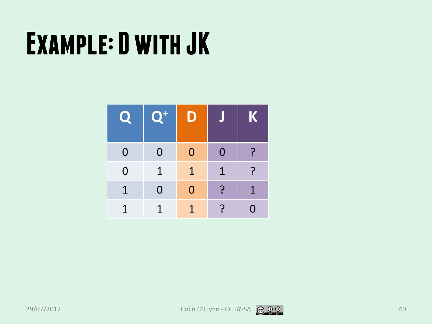| $\boldsymbol{\mathbf{Q}}$ | $\mathbf{Q}^+$ | D        |             | K            |
|---------------------------|----------------|----------|-------------|--------------|
| $\Omega$                  | 0              | $\Omega$ | $\Omega$    | <u>?</u>     |
| $\Omega$                  | 1              | 1        | $\mathbf 1$ | $\mathbf{P}$ |
| $\mathbf 1$               | $\overline{0}$ | $\Omega$ | ?           | $\mathbf 1$  |
| 1                         | 1              | 1.       | <u>?</u>    | 0            |

![](_page_39_Picture_4.jpeg)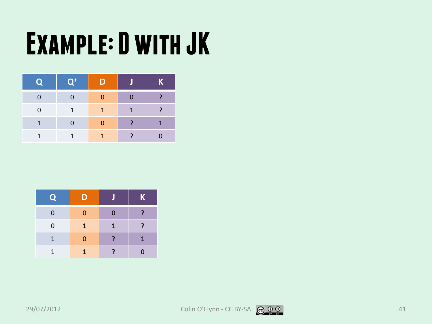| O | $\mathbf{Q}^{\text{+}}$ | תוו |   | K |
|---|-------------------------|-----|---|---|
| O | 0                       |     |   |   |
| 0 | $\mathbf{1}$            | ъ   | 1 |   |
| 1 | 0                       |     |   | 4 |
| 1 | 1                       |     |   |   |

| $\hat{\mathbf{e}}$ | D            |    | $\mathsf{K}$ |
|--------------------|--------------|----|--------------|
| $\Omega$           | 0            | በ  | 2            |
| $\mathbf 0$        | $\mathbf{1}$ | 1. | 7            |
| 1                  | 0            |    | 1            |
| 1                  | 1            |    |              |

![](_page_40_Picture_5.jpeg)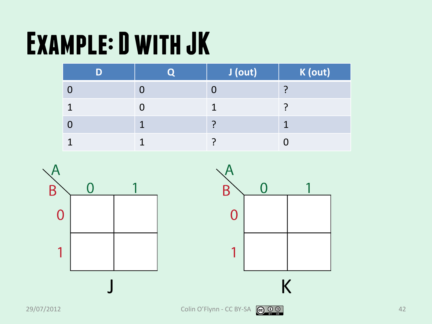|  | J (out) | K (out) |
|--|---------|---------|
|  |         |         |
|  |         |         |
|  |         |         |
|  |         |         |

![](_page_41_Figure_2.jpeg)

![](_page_41_Figure_3.jpeg)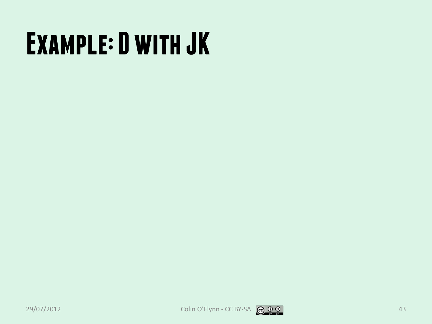![](_page_42_Picture_3.jpeg)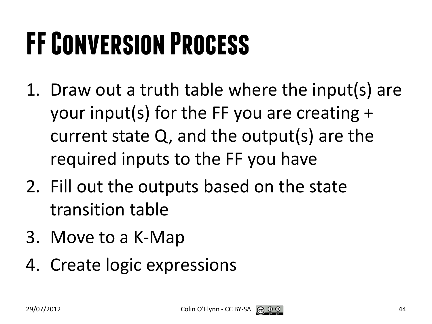## **FF Conversion Process**

- 1. Draw out a truth table where the input(s) are your input(s) for the FF you are creating + current state Q, and the output(s) are the required inputs to the FF you have
- 2. Fill out the outputs based on the state transition table
- 3. Move to a K-Map
- 4. Create logic expressions